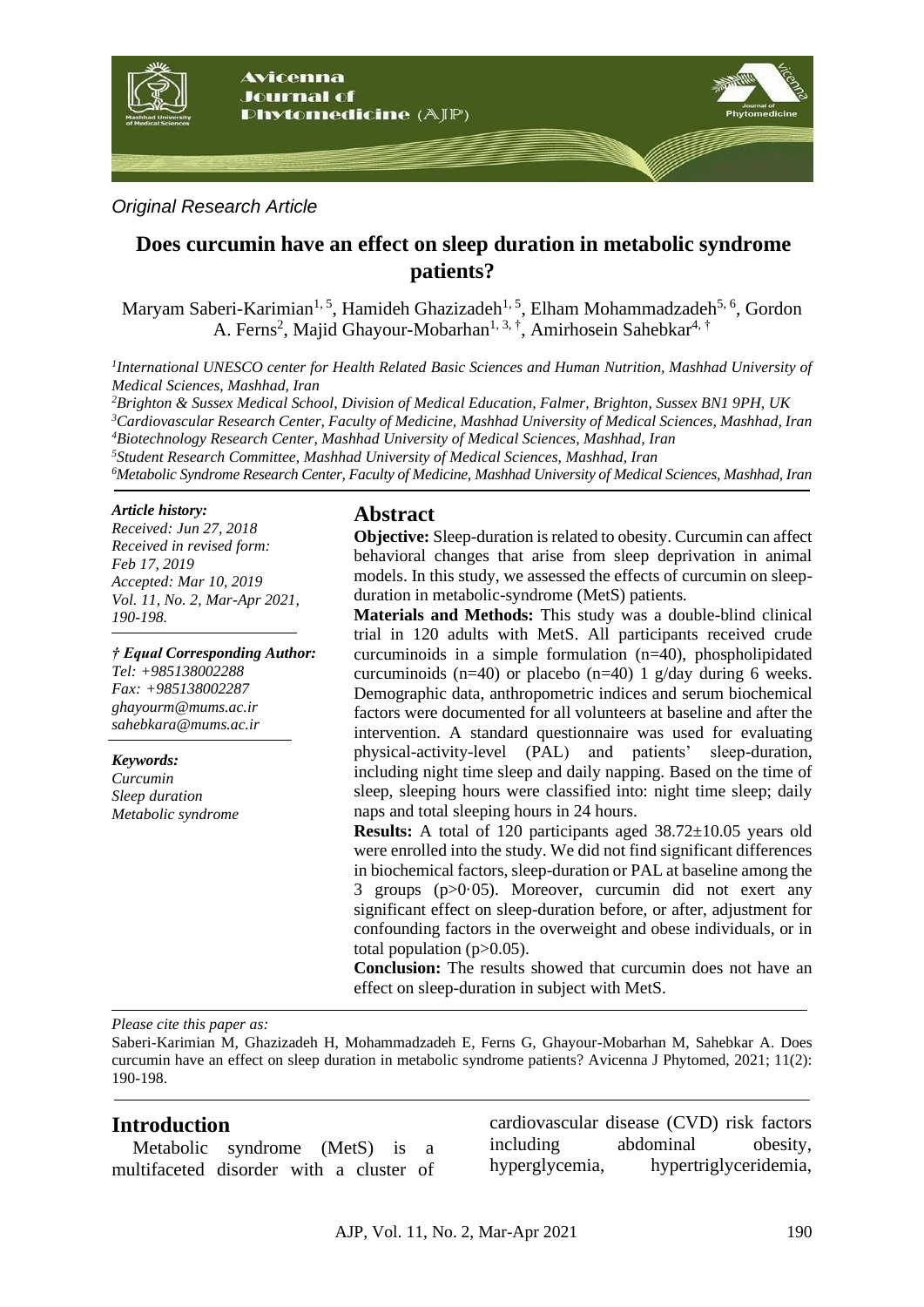

### *Original Research Article*

# **Does curcumin have an effect on sleep duration in metabolic syndrome patients?**

Maryam Saberi-Karimian<sup>1, 5</sup>, Hamideh Ghazizadeh<sup>1, 5</sup>, Elham Mohammadzadeh<sup>5, 6</sup>, Gordon A. Ferns<sup>2</sup>, Majid Ghayour-Mobarhan<sup>1, 3, †</sup>, Amirhosein Sahebkar<sup>4, †</sup>

*1 International UNESCO center for Health Related Basic Sciences and Human Nutrition, Mashhad University of Medical Sciences, Mashhad, Iran*

*Brighton & Sussex Medical School, Division of Medical Education, Falmer, Brighton, Sussex BN1 9PH, UK Cardiovascular Research Center, Faculty of Medicine, Mashhad University of Medical Sciences, Mashhad, Iran Biotechnology Research Center, Mashhad University of Medical Sciences, Mashhad, Iran Student Research Committee, Mashhad University of Medical Sciences, Mashhad, Iran Metabolic Syndrome Research Center, Faculty of Medicine, Mashhad University of Medical Sciences, Mashhad, Iran*

#### *Article history:*

*Received: Jun 27, 2018 Received in revised form: Feb 17, 2019 Accepted: Mar 10, 2019 Vol. 11, No. 2, Mar-Apr 2021, 190-198.*

*† Equal Corresponding Author: Tel: +985138002288 Fax: +985138002287*

*ghayourm@mums.ac.ir sahebkara@mums.ac.ir*

*Keywords: Curcumin Sleep duration*

*Metabolic syndrome*

# **Abstract**

**Objective:** Sleep-duration is related to obesity. Curcumin can affect behavioral changes that arise from sleep deprivation in animal models. In this study, we assessed the effects of curcumin on sleepduration in metabolic-syndrome (MetS) patients.

**Materials and Methods:** This study was a double-blind clinical trial in 120 adults with MetS. All participants received crude curcuminoids in a simple formulation (n=40), phospholipidated curcuminoids (n=40) or placebo (n=40) 1 g/day during 6 weeks. Demographic data, anthropometric indices and serum biochemical factors were documented for all volunteers at baseline and after the intervention. A standard questionnaire was used for evaluating physical-activity-level (PAL) and patients' sleep-duration, including night time sleep and daily napping. Based on the time of sleep, sleeping hours were classified into: night time sleep; daily naps and total sleeping hours in 24 hours.

**Results:** A total of 120 participants aged 38.72±10.05 years old were enrolled into the study. We did not find significant differences in biochemical factors, sleep-duration or PAL at baseline among the 3 groups (p>0·05). Moreover, curcumin did not exert any significant effect on sleep-duration before, or after, adjustment for confounding factors in the overweight and obese individuals, or in total population  $(p>0.05)$ .

**Conclusion:** The results showed that curcumin does not have an effect on sleep-duration in subject with MetS.

#### *Please cite this paper as:*

Saberi-Karimian M, Ghazizadeh H, Mohammadzadeh E, Ferns G, Ghayour-Mobarhan M, Sahebkar A. Does curcumin have an effect on sleep duration in metabolic syndrome patients? Avicenna J Phytomed, 2021; 11(2): 190-198.

### **Introduction**

Metabolic syndrome (MetS) is a multifaceted disorder with a cluster of

cardiovascular disease (CVD) risk factors including abdominal obesity, hyperglycemia, hypertriglyceridemia,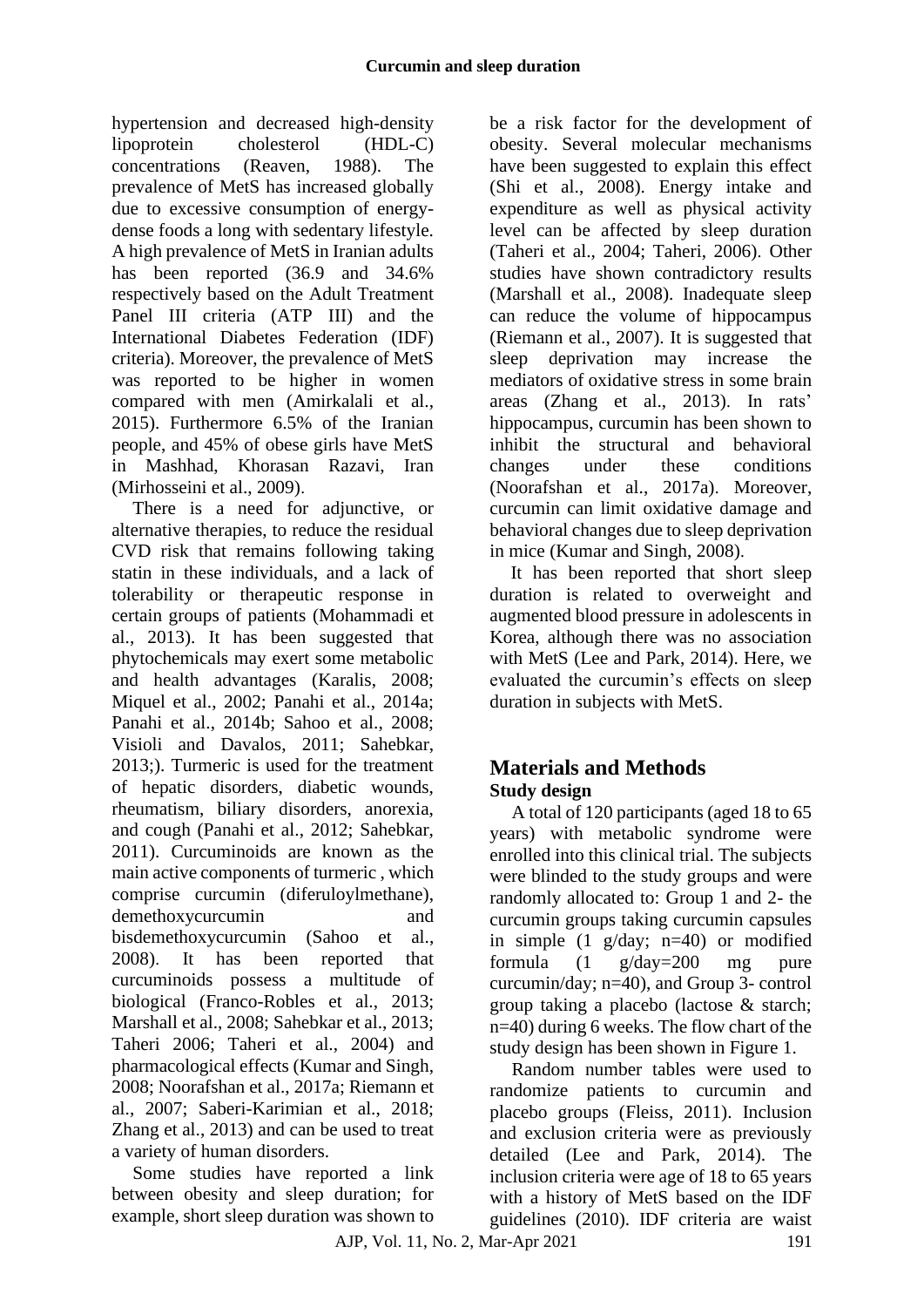hypertension and decreased high-density lipoprotein cholesterol (HDL-C) concentrations [\(Reaven, 1988\)](#page-7-0). The prevalence of MetS has increased globally due to excessive consumption of energydense foods a long with sedentary lifestyle. A high prevalence of MetS in Iranian adults has been reported (36.9 and 34.6% respectively based on the Adult Treatment Panel III criteria (ATP III) and the International Diabetes Federation (IDF) criteria). Moreover, the prevalence of MetS was reported to be higher in women compared with men [\(Amirkalali et al.,](#page-6-0)  [2015\)](#page-6-0). Furthermore 6.5% of the Iranian people, and 45% of obese girls have MetS in Mashhad, Khorasan Razavi, Iran [\(Mirhosseini et al.,](#page-7-1) 2009).

There is a need for adjunctive, or alternative therapies, to reduce the residual CVD risk that remains following taking statin in these individuals, and a lack of tolerability or therapeutic response in certain groups of patients [\(Mohammadi et](#page-7-2)  al., [2013\)](#page-7-2). It has been suggested that phytochemicals may exert some metabolic and health advantages [\(Karalis,](#page-7-3) 2008; [Miquel et al.,](#page-7-4) 2002; [Panahi et al.,](#page-7-5) 2014a; [Panahi et al.,](#page-7-6) 2014b; [Sahoo et al.,](#page-8-0) 2008; [Visioli and Davalos,](#page-8-1) 2011; [Sahebkar,](#page-7-7) [2013;](#page-7-7)). Turmeric is used for the treatment of hepatic disorders, diabetic wounds, rheumatism, biliary disorders, anorexia, and cough [\(Panahi et al.,](#page-7-8) 2012; [Sahebkar,](#page-8-2) [2011\)](#page-8-2). Curcuminoids are known as the main active components of turmeric , which comprise curcumin (diferuloylmethane), [demethoxycurcumin](http://en.wikipedia.org/wiki/Demethoxycurcumin) and bisdemethoxycurcumin [\(Sahoo et al.,](#page-8-0) [2008\)](#page-8-0). It has been reported that curcuminoids possess a multitude of biological [\(Franco-Robles et al.,](#page-6-1) 2013; [Marshall et al.,](#page-7-9) 2008; [Sahebkar et al.,](#page-8-3) 2013; [Taheri 2006;](#page-8-4) [Taheri et al.,](#page-8-5) 2004) and pharmacological effects [\(Kumar and Singh,](#page-7-10) [2008;](#page-7-10) [Noorafshan et al., 2017a;](#page-7-11) [Riemann et](#page-7-12)  [al., 2007;](#page-7-12) [Saberi-Karimian et al.,](#page-7-13) 2018; [Zhang et al.,](#page-8-6) 2013) and can be used to treat a variety of human disorders.

Some studies have reported a link between obesity and sleep duration; for example, short sleep duration was shown to

be a risk factor for the development of obesity. Several molecular mechanisms have been suggested to explain this effect (Shi et al., 2008). Energy intake and expenditure as well as physical activity level can be affected by sleep duration [\(Taheri et al.,](#page-8-5) 2004; [Taheri,](#page-8-4) 2006). Other studies have shown contradictory results [\(Marshall et al.,](#page-7-9) 2008). Inadequate sleep can reduce the volume of hippocampus [\(Riemann et al.,](#page-7-12) 2007). It is suggested that sleep deprivation may increase the mediators of [oxidative stress](https://www.sciencedirect.com/topics/medicine-and-dentistry/oxidative-stress) [i](https://www.sciencedirect.com/topics/medicine-and-dentistry/oxidative-stress)n some brain areas [\(Zhang et al.,](#page-8-6) 2013). In rats' hippocampus, curcumin has been shown to inhibit the structural and behavioral changes under these conditions [\(Noorafshan et al.,](#page-7-11) 2017a). Moreover, curcumin can limit oxidative damage and behavioral changes due to sleep deprivation in mice [\(Kumar and Singh,](#page-7-10) 2008).

It has been reported that short sleep duration is related to overweight and augmented blood pressure in adolescents in Korea, although there was no association with MetS [\(Lee and Park,](#page-7-14) 2014). Here, we evaluated the curcumin's effects on sleep duration in subjects with MetS.

# **Materials and Methods Study design**

A total of 120 participants (aged 18 to 65 years) with metabolic syndrome were enrolled into this clinical trial. The subjects were blinded to the study groups and were randomly allocated to: Group 1 and 2- the curcumin groups taking curcumin capsules in simple (1 g/day; n=40) or modified formula  $(1 \text{ g}/day=200 \text{ mg}$  pure curcumin/day; n=40), and Group 3- control group taking a placebo (lactose & starch; n=40) during 6 weeks. The flow chart of the study design has been shown in Figure 1.

Random number tables were used to randomize patients to curcumin and placebo groups [\(Fleiss,](#page-6-2) 2011). Inclusion and exclusion criteria were as previously detailed [\(Lee and Park,](#page-7-14) 2014). The inclusion criteria were age of 18 to 65 years with a history of MetS based on the IDF guidelines (2010). IDF criteria are waist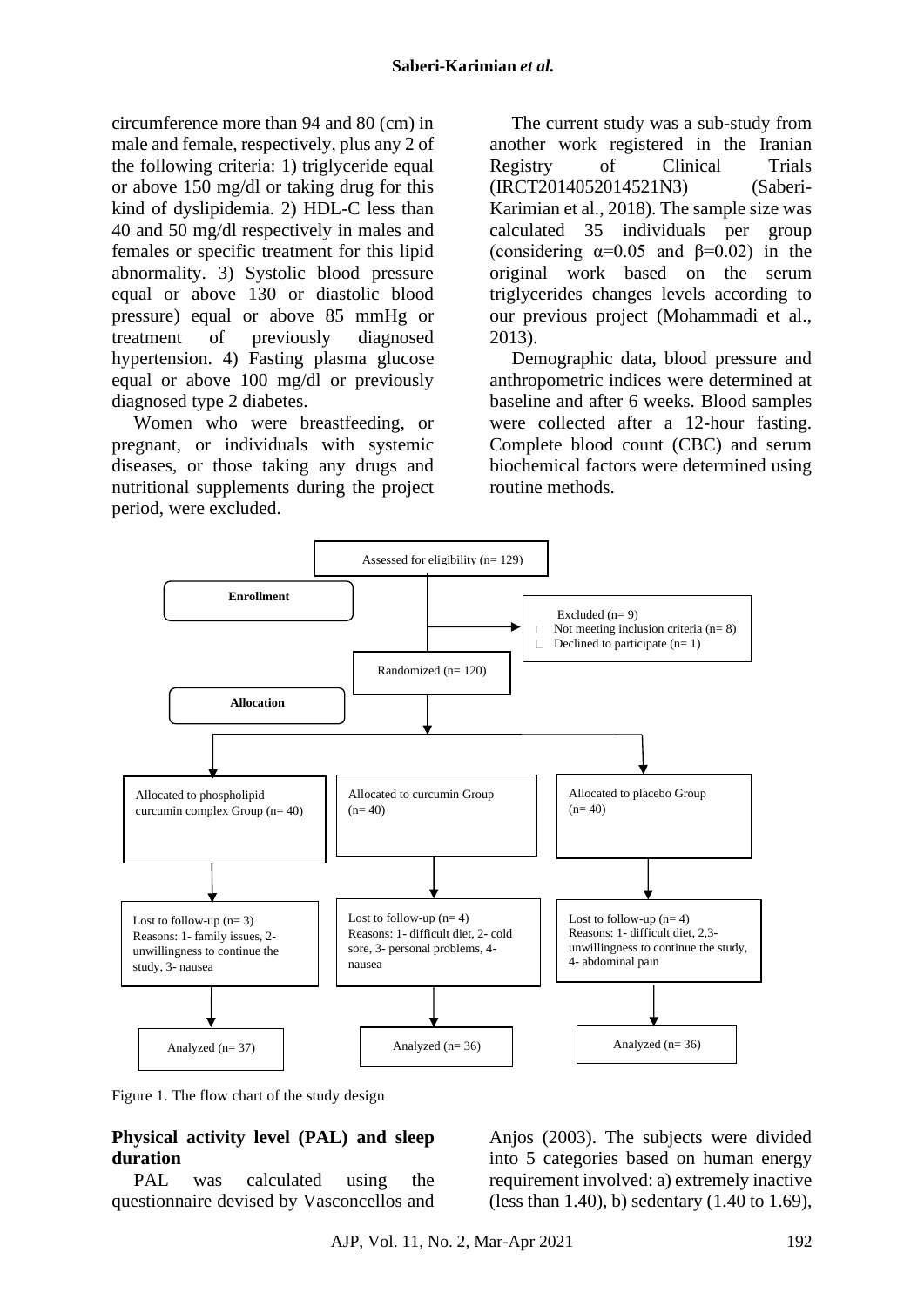circumference more than 94 and 80 (cm) in male and female, respectively, plus any 2 of the following criteria: 1) triglyceride equal or above 150 mg/dl or taking drug for this kind of dyslipidemia. 2) HDL-C less than 40 and 50 mg/dl respectively in males and females or specific treatment for this lipid abnormality. 3) Systolic blood pressure equal or above 130 or diastolic blood pressure) equal or above 85 mmHg or treatment of previously diagnosed hypertension. 4) Fasting plasma glucose equal or above 100 mg/dl or previously diagnosed type 2 diabetes.

Women who were breastfeeding, or pregnant, or individuals with systemic diseases, or those taking any drugs and nutritional supplements during the project period, were excluded.

The current study was a sub-study from another work registered in the Iranian Registry of Clinical Trials (IRCT2014052014521N3) (Saberi-Karimian et al., 2018). The sample size was calculated 35 individuals per group (considering  $\alpha=0.05$  and  $\beta=0.02$ ) in the original work based on the serum triglycerides changes levels according to our previous project (Mohammadi et al., 2013).

Demographic data, blood pressure and anthropometric indices were determined at baseline and after 6 weeks. Blood samples were collected after a 12-hour fasting. Complete blood count (CBC) and serum biochemical factors were determined using routine methods.



Figure 1. The flow chart of the study design

# **Physical activity level (PAL) and sleep duration**

PAL was calculated using the questionnaire devised by Vasconcellos and

Anjos (2003). The subjects were divided into 5 categories based on human energy requirement involved: a) extremely inactive (less than 1.40), b) sedentary (1.40 to 1.69),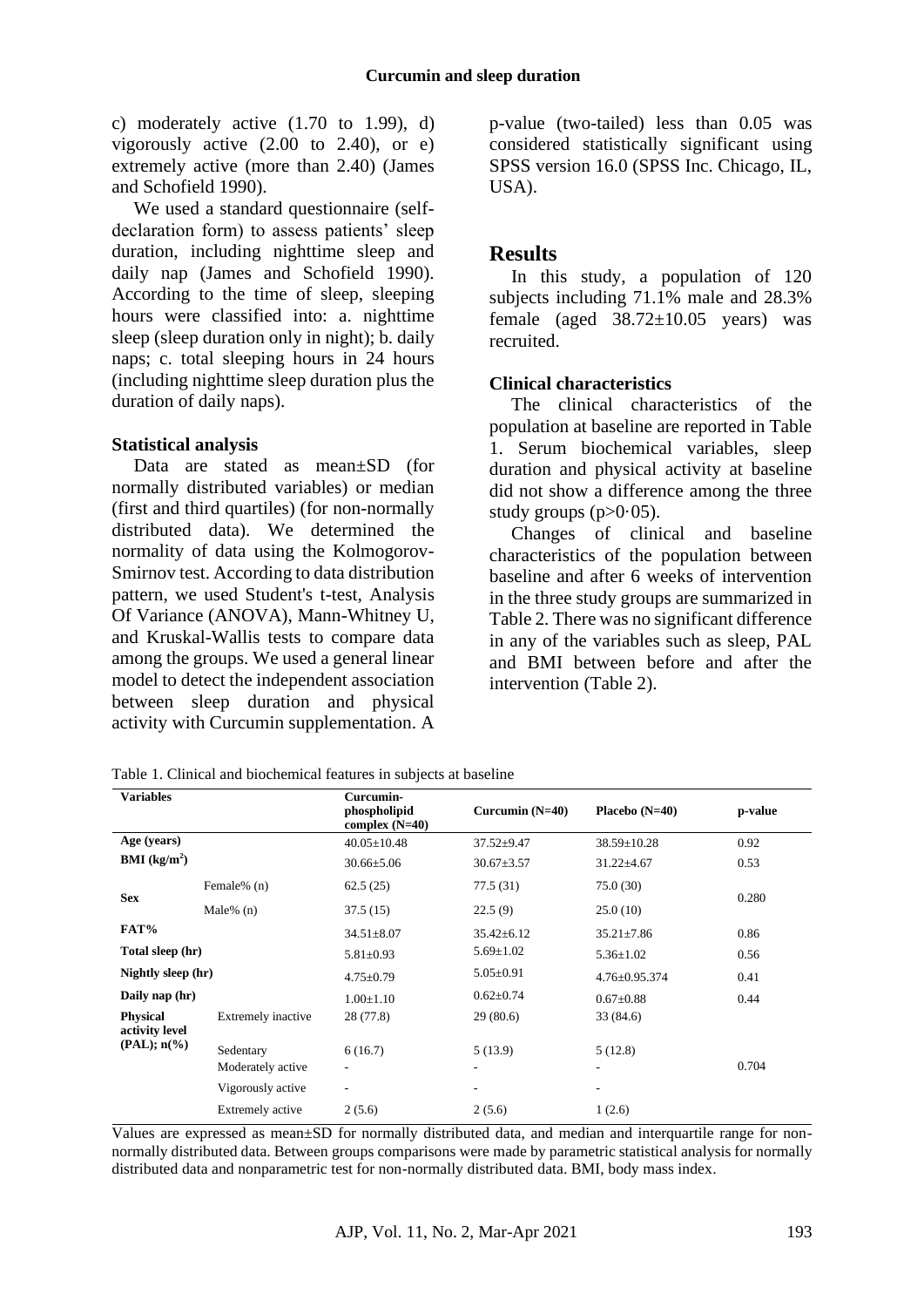c) moderately active  $(1.70 \text{ to } 1.99)$ , d) vigorously active  $(2.00 \text{ to } 2.40)$ , or e) extremely active (more than 2.40) (James and Schofield 1990).

We used a standard questionnaire (selfdeclaration form) to assess patients' sleep duration, including nighttime sleep and daily nap (James and Schofield 1990). According to the time of sleep, sleeping hours were classified into: a. nighttime sleep (sleep duration only in night); b. daily naps; c. total sleeping hours in 24 hours (including nighttime sleep duration plus the duration of daily naps).

#### **Statistical analysis**

Data are stated as mean±SD (for normally distributed variables) or median (first and third quartiles) (for non-normally distributed data). We determined the normality of data using the Kolmogorov-Smirnov test. According to data distribution pattern, we used Student's t-test, Analysis Of Variance (ANOVA), Mann-Whitney U, and Kruskal-Wallis tests to compare data among the groups. We used a general linear model to detect the independent association between sleep duration and physical activity with Curcumin supplementation. A

p-value (two-tailed) less than 0.05 was considered statistically significant using SPSS version 16.0 (SPSS Inc. Chicago, IL, USA).

## **Results**

In this study, a population of 120 subjects including 71.1% male and 28.3% female (aged  $38.72 \pm 10.05$  years) was recruited.

### **Clinical characteristics**

The clinical characteristics of the population at baseline are reported in Table 1. Serum biochemical variables, sleep duration and physical activity at baseline did not show a difference among the three study groups  $(p>0.05)$ .

Changes of clinical and baseline characteristics of the population between baseline and after 6 weeks of intervention in the three study groups are summarized in Table 2. There was no significant difference in any of the variables such as sleep, PAL and BMI between before and after the intervention (Table 2).

Table 1. Clinical and biochemical features in subjects at baseline

| <b>Variables</b>                  |                    | Curcumin-<br>phospholipid<br>complex $(N=40)$ | Curcumin $(N=40)$ | Placebo $(N=40)$         | p-value |
|-----------------------------------|--------------------|-----------------------------------------------|-------------------|--------------------------|---------|
| Age (years)                       |                    | $40.05 \pm 10.48$                             | $37.52 \pm 9.47$  | $38.59 \pm 10.28$        | 0.92    |
| <b>BMI</b> ( $kg/m2$ )            |                    | $30.66 \pm 5.06$                              | $30.67 \pm 3.57$  | $31.22 \pm 4.67$         | 0.53    |
| <b>Sex</b>                        | Female% (n)        | 62.5(25)                                      | 77.5 (31)         | 75.0(30)                 | 0.280   |
|                                   | Male% $(n)$        | 37.5(15)                                      | 22.5(9)           | 25.0(10)                 |         |
| FAT%                              |                    | $34.51 \pm 8.07$                              | $35.42 \pm 6.12$  | $35.21 \pm 7.86$         | 0.86    |
| Total sleep (hr)                  |                    | $5.81 \pm 0.93$                               | $5.69 \pm 1.02$   | $5.36 \pm 1.02$          | 0.56    |
| Nightly sleep (hr)                |                    | $4.75 \pm 0.79$                               | $5.05 \pm 0.91$   | $4.76 \pm 0.95.374$      | 0.41    |
| Daily nap (hr)                    |                    | $1.00 \pm 1.10$                               | $0.62 \pm 0.74$   | $0.67 \pm 0.88$          | 0.44    |
| <b>Physical</b><br>activity level | Extremely inactive | 28 (77.8)                                     | 29(80.6)          | 33 (84.6)                |         |
| $(PAL); n(\%)$                    | Sedentary          | 6(16.7)                                       | 5(13.9)           | 5(12.8)                  |         |
|                                   | Moderately active  | $\overline{\phantom{a}}$                      | ۰.                | ۰.                       | 0.704   |
|                                   | Vigorously active  | ٠                                             | ۰                 | $\overline{\phantom{a}}$ |         |
|                                   | Extremely active   | 2(5.6)                                        | 2(5.6)            | 1(2.6)                   |         |

Values are expressed as mean±SD for normally distributed data, and median and interquartile range for nonnormally distributed data. Between groups comparisons were made by parametric statistical analysis for normally distributed data and nonparametric test for non-normally distributed data. BMI, body mass index.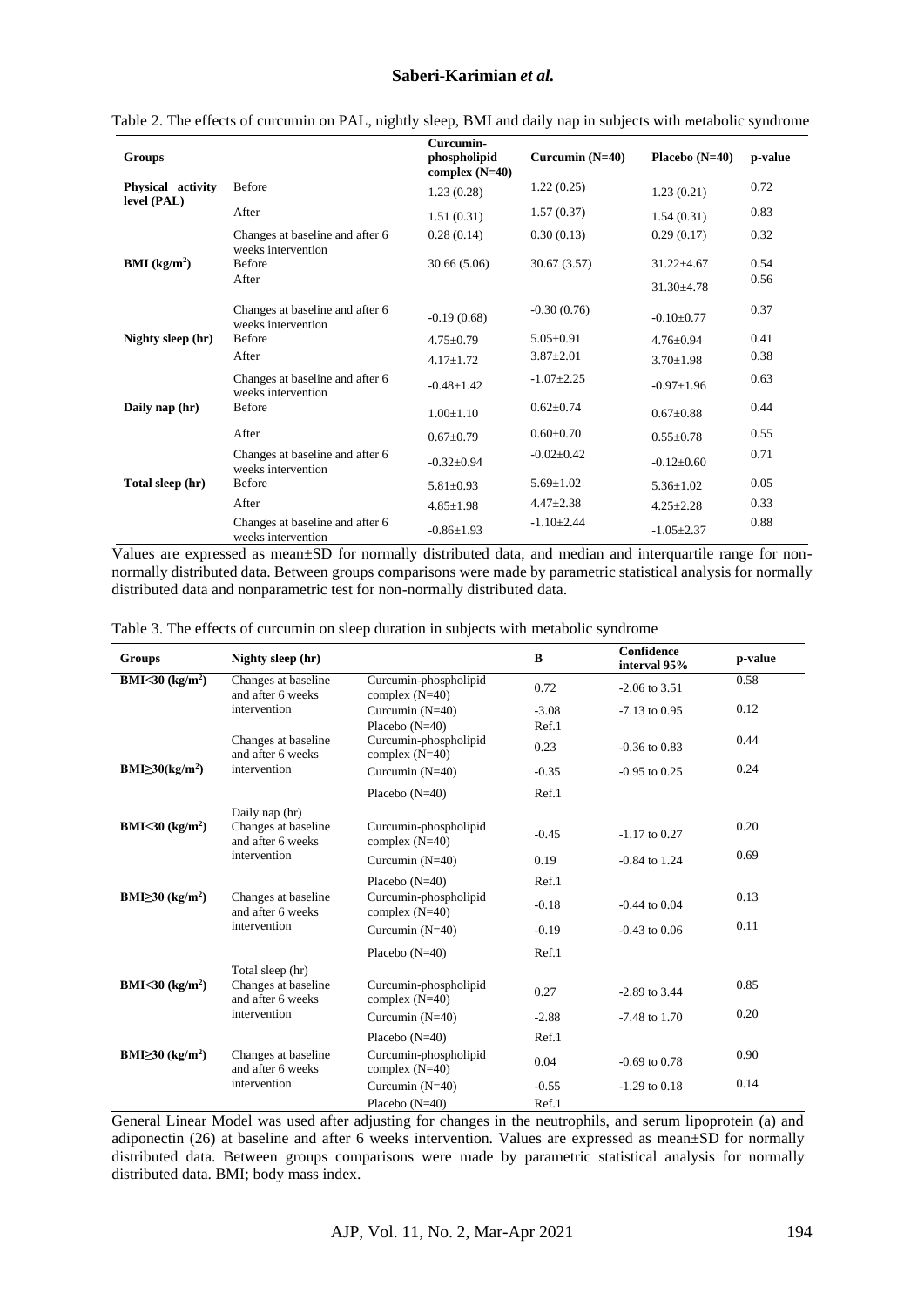#### **Saberi-Karimian** *et al.*

|                        |                                                       | Curcumin-                        |                   |                  |         |
|------------------------|-------------------------------------------------------|----------------------------------|-------------------|------------------|---------|
| <b>Groups</b>          |                                                       | phospholipid<br>complex $(N=40)$ | Curcumin $(N=40)$ | Placebo $(N=40)$ | p-value |
| Physical activity      | Before                                                | 1.23(0.28)                       | 1.22(0.25)        | 1.23(0.21)       | 0.72    |
| level (PAL)            | After                                                 | 1.51(0.31)                       | 1.57(0.37)        | 1.54(0.31)       | 0.83    |
|                        | Changes at baseline and after 6                       | 0.28(0.14)                       | 0.30(0.13)        | 0.29(0.17)       | 0.32    |
| <b>BMI</b> ( $kg/m2$ ) | weeks intervention<br><b>Before</b>                   | 30.66(5.06)                      | 30.67(3.57)       | $31.22 \pm 4.67$ | 0.54    |
|                        | After                                                 |                                  |                   | $31.30 + 4.78$   | 0.56    |
|                        | Changes at baseline and after 6<br>weeks intervention | $-0.19(0.68)$                    | $-0.30(0.76)$     | $-0.10+0.77$     | 0.37    |
| Nighty sleep (hr)      | <b>Before</b>                                         | $4.75 \pm 0.79$                  | $5.05 \pm 0.91$   | $4.76 \pm 0.94$  | 0.41    |
|                        | After                                                 | $4.17 \pm 1.72$                  | $3.87 \pm 2.01$   | $3.70 + 1.98$    | 0.38    |
|                        | Changes at baseline and after 6<br>weeks intervention | $-0.48 \pm 1.42$                 | $-1.07+2.25$      | $-0.97 \pm 1.96$ | 0.63    |
| Daily nap (hr)         | <b>Before</b>                                         | $1.00 \pm 1.10$                  | $0.62 + 0.74$     | $0.67 \pm 0.88$  | 0.44    |
|                        | After                                                 | $0.67 \pm 0.79$                  | $0.60 \pm 0.70$   | $0.55 \pm 0.78$  | 0.55    |
|                        | Changes at baseline and after 6<br>weeks intervention | $-0.32+0.94$                     | $-0.02 \pm 0.42$  | $-0.12 \pm 0.60$ | 0.71    |
| Total sleep (hr)       | <b>Before</b>                                         | $5.81 \pm 0.93$                  | $5.69 \pm 1.02$   | $5.36 \pm 1.02$  | 0.05    |
|                        | After                                                 | $4.85 \pm 1.98$                  | $4.47 \pm 2.38$   | $4.25 \pm 2.28$  | 0.33    |
|                        | Changes at baseline and after 6<br>weeks intervention | $-0.86 \pm 1.93$                 | $-1.10+2.44$      | $-1.05 \pm 2.37$ | 0.88    |

Table 2. The effects of curcumin on PAL, nightly sleep, BMI and daily nap in subjects with metabolic syndrome

Values are expressed as mean±SD for normally distributed data, and median and interquartile range for nonnormally distributed data. Between groups comparisons were made by parametric statistical analysis for normally distributed data and nonparametric test for non-normally distributed data.

|  |  |  |  |  | Table 3. The effects of curcumin on sleep duration in subjects with metabolic syndrome |  |  |
|--|--|--|--|--|----------------------------------------------------------------------------------------|--|--|
|  |  |  |  |  |                                                                                        |  |  |

| <b>Groups</b>                      | Nighty sleep (hr)                                            |                                           | $\bf{B}$         | Confidence<br>interval 95% | p-value |
|------------------------------------|--------------------------------------------------------------|-------------------------------------------|------------------|----------------------------|---------|
| <b>BMI&lt;30</b> ( $kg/m2$ )       | Changes at baseline<br>and after 6 weeks                     | Curcumin-phospholipid<br>complex $(N=40)$ | 0.72             | $-2.06$ to 3.51            | 0.58    |
|                                    | intervention                                                 | Curcumin $(N=40)$<br>Placebo $(N=40)$     | $-3.08$<br>Ref.1 | $-7.13$ to 0.95            | 0.12    |
|                                    | Changes at baseline<br>and after 6 weeks                     | Curcumin-phospholipid<br>complex $(N=40)$ | 0.23             | $-0.36$ to $0.83$          | 0.44    |
| $BMI \geq 30 (kg/m2)$              | intervention                                                 | Curcumin $(N=40)$                         | $-0.35$          | $-0.95$ to 0.25            | 0.24    |
|                                    |                                                              | Placebo $(N=40)$                          | Ref.1            |                            |         |
| BMI<30 $(kg/m2)$                   | Daily nap (hr)<br>Changes at baseline<br>and after 6 weeks   | Curcumin-phospholipid<br>complex $(N=40)$ | $-0.45$          | $-1.17$ to 0.27            | 0.20    |
|                                    | intervention                                                 | Curcumin $(N=40)$                         | 0.19             | $-0.84$ to 1.24            | 0.69    |
|                                    |                                                              | Placebo $(N=40)$                          | Ref.1            |                            |         |
| BMI $\geq$ 30 (kg/m <sup>2</sup> ) | Changes at baseline<br>and after 6 weeks                     | Curcumin-phospholipid<br>complex $(N=40)$ | $-0.18$          | $-0.44$ to $0.04$          | 0.13    |
|                                    | intervention                                                 | Curcumin $(N=40)$                         | $-0.19$          | $-0.43$ to $0.06$          | 0.11    |
|                                    |                                                              | Placebo $(N=40)$                          | Ref.1            |                            |         |
| <b>BMI&lt;30</b> ( $kg/m2$ )       | Total sleep (hr)<br>Changes at baseline<br>and after 6 weeks | Curcumin-phospholipid<br>complex $(N=40)$ | 0.27             | $-2.89$ to 3.44            | 0.85    |
|                                    | intervention                                                 | Curcumin $(N=40)$                         | $-2.88$          | $-7.48$ to 1.70            | 0.20    |
|                                    |                                                              | Placebo $(N=40)$                          | Ref.1            |                            |         |
| BMI $\geq$ 30 (kg/m <sup>2</sup> ) | Changes at baseline<br>and after 6 weeks                     | Curcumin-phospholipid<br>complex $(N=40)$ | 0.04             | $-0.69$ to $0.78$          | 0.90    |
|                                    | intervention                                                 | Curcumin $(N=40)$                         | $-0.55$          | $-1.29$ to $0.18$          | 0.14    |
|                                    |                                                              | Placebo $(N=40)$                          | Ref.1            |                            |         |

General Linear Model was used after adjusting for changes in the neutrophils, and serum lipoprotein (a) and adiponectin (26) at baseline and after 6 weeks intervention. Values are expressed as mean±SD for normally distributed data. Between groups comparisons were made by parametric statistical analysis for normally distributed data. BMI; body mass index.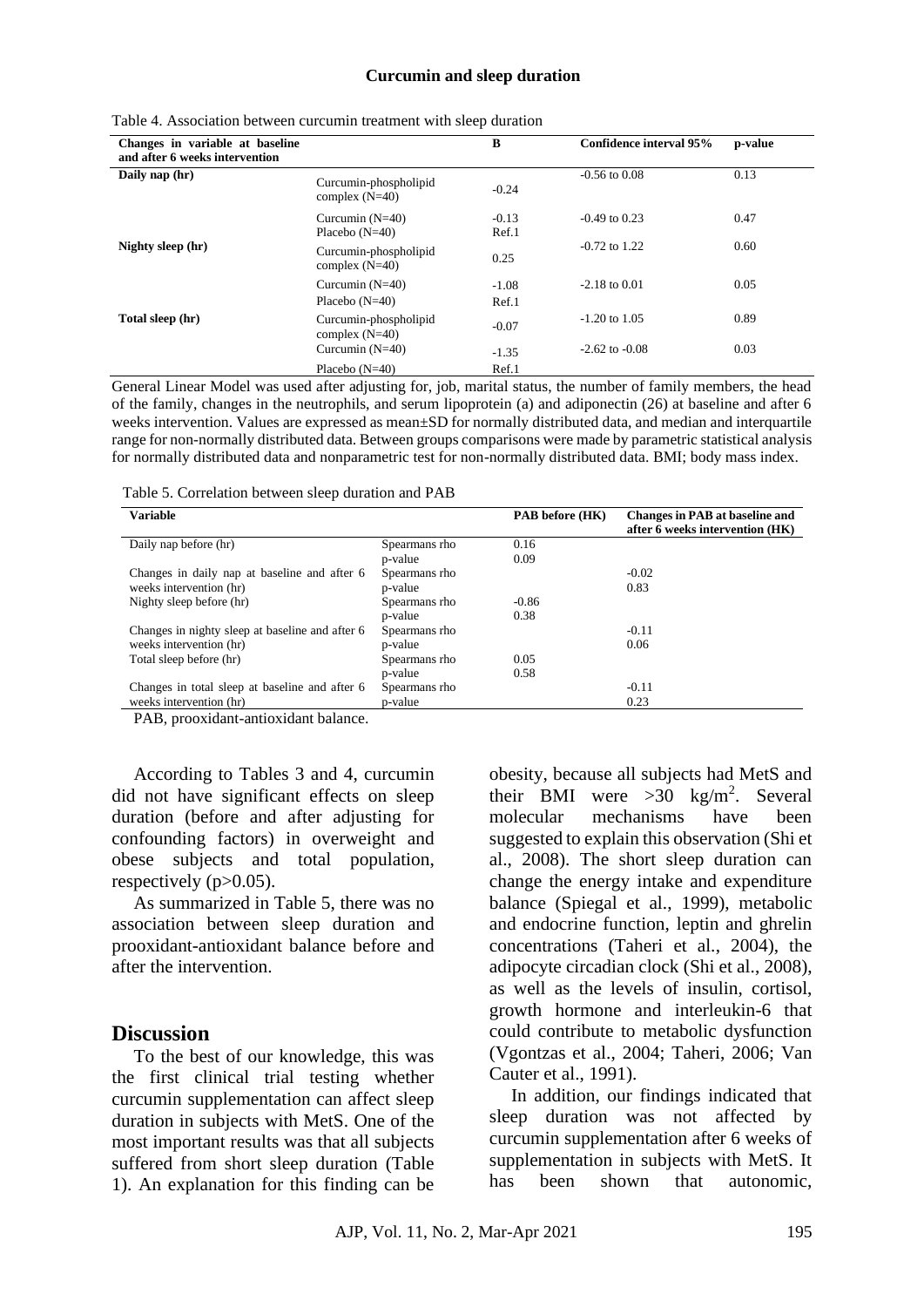#### **Curcumin and sleep duration**

| Changes in variable at baseline<br>and after 6 weeks intervention |                                           | B                | Confidence interval 95% | p-value |
|-------------------------------------------------------------------|-------------------------------------------|------------------|-------------------------|---------|
| Daily nap (hr)                                                    | Curcumin-phospholipid<br>complex $(N=40)$ | $-0.24$          | $-0.56$ to $0.08$       | 0.13    |
|                                                                   | Curcumin $(N=40)$<br>Placebo $(N=40)$     | $-0.13$<br>Ref.1 | $-0.49$ to 0.23         | 0.47    |
| Nighty sleep (hr)                                                 | Curcumin-phospholipid<br>complex $(N=40)$ | 0.25             | $-0.72$ to 1.22         | 0.60    |
|                                                                   | Curcumin $(N=40)$<br>Placebo $(N=40)$     | $-1.08$<br>Ref.1 | $-2.18$ to $0.01$       | 0.05    |
| Total sleep (hr)                                                  | Curcumin-phospholipid<br>complex $(N=40)$ | $-0.07$          | $-1.20$ to $1.05$       | 0.89    |
|                                                                   | Curcumin $(N=40)$                         | $-1.35$          | $-2.62$ to $-0.08$      | 0.03    |
|                                                                   | Placebo $(N=40)$                          | Ref.1            |                         |         |

Table 4. Association between curcumin treatment with sleep duration

General Linear Model was used after adjusting for, job, marital status, the number of family members, the head of the family, changes in the neutrophils, and serum lipoprotein (a) and adiponectin (26) at baseline and after 6 weeks intervention. Values are expressed as mean±SD for normally distributed data, and median and interquartile range for non-normally distributed data. Between groups comparisons were made by parametric statistical analysis for normally distributed data and nonparametric test for non-normally distributed data. BMI; body mass index.

Table 5. Correlation between sleep duration and PAB

| <b>Variable</b>                                 |               | <b>PAB</b> before (HK) | Changes in PAB at baseline and<br>after 6 weeks intervention (HK) |
|-------------------------------------------------|---------------|------------------------|-------------------------------------------------------------------|
| Daily nap before (hr)                           | Spearmans rho | 0.16                   |                                                                   |
|                                                 | p-value       | 0.09                   |                                                                   |
| Changes in daily nap at baseline and after 6    | Spearmans rho |                        | $-0.02$                                                           |
| weeks intervention (hr)                         | p-value       |                        | 0.83                                                              |
| Nighty sleep before (hr)                        | Spearmans rho | $-0.86$                |                                                                   |
|                                                 | p-value       | 0.38                   |                                                                   |
| Changes in nighty sleep at baseline and after 6 | Spearmans rho |                        | $-0.11$                                                           |
| weeks intervention (hr)                         | p-value       |                        | 0.06                                                              |
| Total sleep before (hr)                         | Spearmans rho | 0.05                   |                                                                   |
|                                                 | p-value       | 0.58                   |                                                                   |
| Changes in total sleep at baseline and after 6  | Spearmans rho |                        | $-0.11$                                                           |
| weeks intervention (hr)                         | p-value       |                        | 0.23                                                              |

PAB, prooxidant-antioxidant balance.

According to Tables 3 and 4, curcumin did not have significant effects on sleep duration (before and after adjusting for confounding factors) in overweight and obese subjects and total population, respectively  $(p>0.05)$ .

As summarized in Table 5, there was no association between sleep duration and prooxidant-antioxidant balance before and after the intervention.

### **Discussion**

To the best of our knowledge, this was the first clinical trial testing whether curcumin supplementation can affect sleep duration in subjects with MetS. One of the most important results was that all subjects suffered from short sleep duration (Table 1). An explanation for this finding can be

obesity, because all subjects had MetS and their BMI were  $>30$  kg/m<sup>2</sup>. Several molecular mechanisms have been suggested to explain this observation (Shi et al., 2008). The short sleep duration can change the energy intake and expenditure balance (Spiegal et al., 1999), metabolic and endocrine function, leptin and ghrelin concentrations (Taheri et al., 2004), the adipocyte circadian clock (Shi et al., 2008), as well as the levels of insulin, cortisol, growth hormone and interleukin-6 that could contribute to metabolic dysfunction (Vgontzas et al., 2004; Taheri, 2006; Van Cauter et al., 1991).

In addition, our findings indicated that sleep duration was not affected by curcumin supplementation after 6 weeks of supplementation in subjects with MetS. It has been shown that autonomic,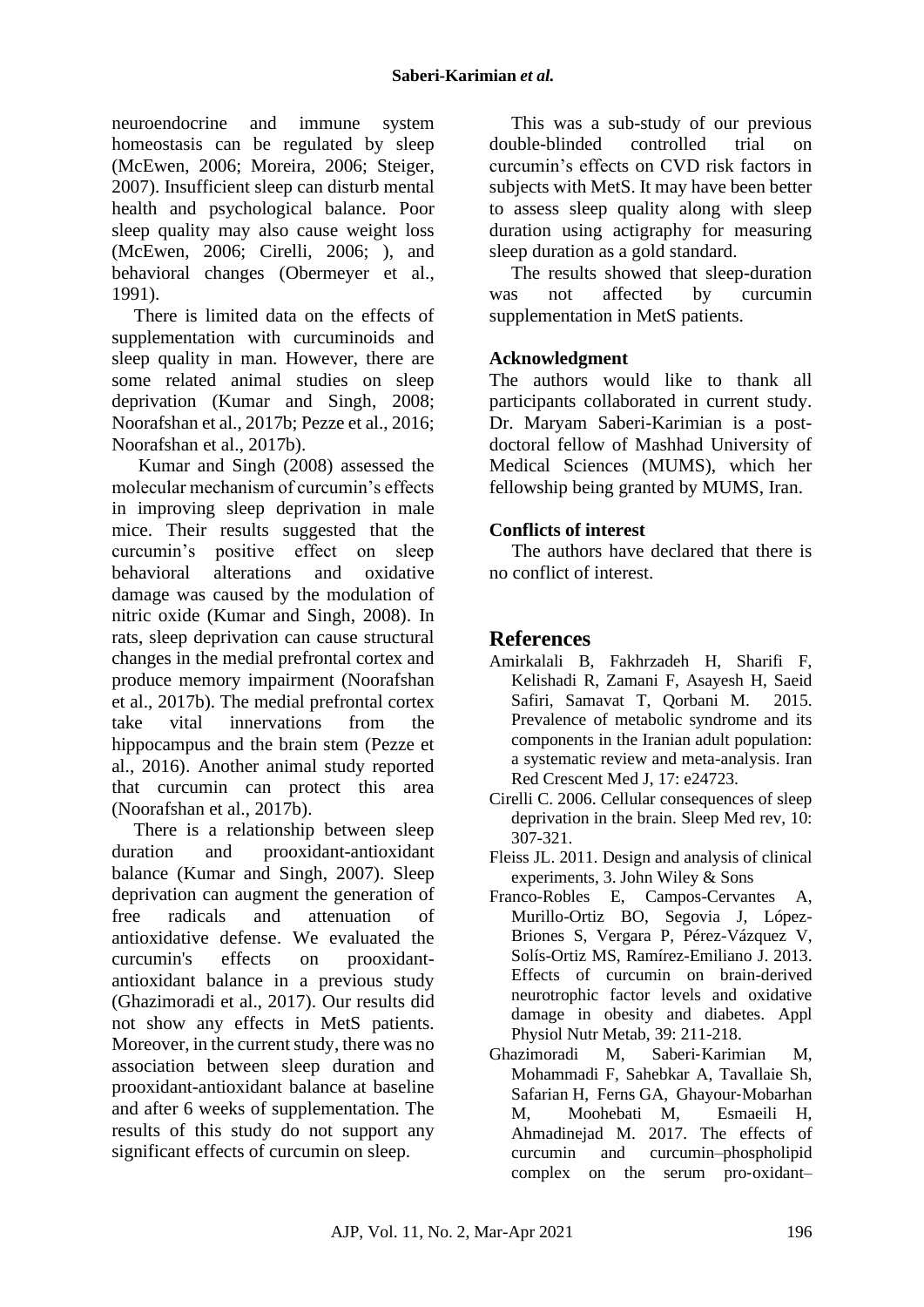neuroendocrine and immune system homeostasis can be regulated by sleep [\(McEwen,](#page-7-15) 2006; [Moreira,](#page-7-16) 2006; [Steiger,](#page-8-7) [2007\)](#page-8-7). Insufficient sleep can disturb mental health and psychological balance. Poor sleep quality may also cause weight loss [\(McEwen,](#page-7-15) 2006; [Cirelli,](#page-6-3) 2006; ), and behavioral changes [\(Obermeyer et al.,](#page-7-17) [1991\)](#page-7-17).

There is limited data on the effects of supplementation with curcuminoids and sleep quality in man. However, there are some related animal studies on sleep deprivation [\(Kumar and Singh,](#page-7-10) 2008; [Noorafshan et al., 2017b;](#page-7-18) [Pezze et al., 2016;](#page-7-19) [Noorafshan et al., 2017b\)](#page-7-18).

Kumar and Singh (2008) assessed the molecular mechanism of curcumin's effects in improving sleep deprivation in male mice. Their results suggested that the curcumin's positive effect on sleep behavioral alterations and oxidative damage was caused by the modulation of nitric oxide [\(Kumar and Singh,](#page-7-10) 2008). In rats, sleep deprivation can cause structural changes in the medial prefrontal cortex and produce memory impairment [\(Noorafshan](#page-7-18)  et al., [2017b\)](#page-7-18). The medial prefrontal cortex take vital innervations from the hippocampus and the brain stem [\(Pezze et](#page-7-19)  al., [2016\)](#page-7-19). Another animal study reported that curcumin can protect this area [\(Noorafshan et al.,](#page-7-18) 2017b).

There is a relationship between sleep duration and prooxidant-antioxidant balance [\(Kumar and Singh,](#page-7-20) 2007). Sleep deprivation can augment the generation of free radicals and attenuation of antioxidative defense. We evaluated the curcumin's effects on prooxidantantioxidant balance in a previous study [\(Ghazimoradi et al., 2017\)](#page-6-4). Our results did not show any effects in MetS patients. Moreover, in the current study, there was no association between sleep duration and prooxidant-antioxidant balance at baseline and after 6 weeks of supplementation. The results of this study do not support any significant effects of curcumin on sleep.

This was a sub-study of our previous double-blinded controlled trial on curcumin's effects on CVD risk factors in subjects with MetS. It may have been better to assess sleep quality along with sleep duration using actigraphy for measuring sleep duration as a gold standard.

The results showed that sleep-duration was not affected by curcumin supplementation in MetS patients.

# **Acknowledgment**

The authors would like to thank all participants collaborated in current study. Dr. Maryam Saberi-Karimian is a postdoctoral fellow of Mashhad University of Medical Sciences (MUMS), which her fellowship being granted by MUMS, Iran.

## **Conflicts of interest**

The authors have declared that there is no conflict of interest.

# **References**

- <span id="page-6-0"></span>Amirkalali B, Fakhrzadeh H, Sharifi F, Kelishadi R, Zamani F, Asayesh H, Saeid Safiri, Samavat T, Qorbani M. 2015. Prevalence of metabolic syndrome and its components in the Iranian adult population: a systematic review and meta-analysis. Iran Red Crescent Med J, 17: e24723.
- <span id="page-6-3"></span>Cirelli C. 2006. Cellular consequences of sleep deprivation in the brain. Sleep Med rev, 10: 307-321.
- <span id="page-6-2"></span>Fleiss JL. 2011. Design and analysis of clinical experiments, 3. John Wiley & Sons
- <span id="page-6-1"></span>Franco-Robles E, Campos-Cervantes A, Murillo-Ortiz BO, Segovia J, López-Briones S, Vergara P, Pérez-Vázquez V, Solís-Ortiz MS, Ramírez-Emiliano J. 2013. Effects of curcumin on brain-derived neurotrophic factor levels and oxidative damage in obesity and diabetes. Appl Physiol Nutr Metab, 39: 211-218.
- <span id="page-6-4"></span>Ghazimoradi M, Saberi‐Karimian M, Mohammadi F, Sahebkar A, Tavallaie Sh, Safarian H, Ferns GA, Ghayour‐Mobarhan M, Moohebati M, Esmaeili H, Ahmadinejad M. 2017. The effects of curcumin and curcumin–phospholipid complex on the serum pro‐oxidant–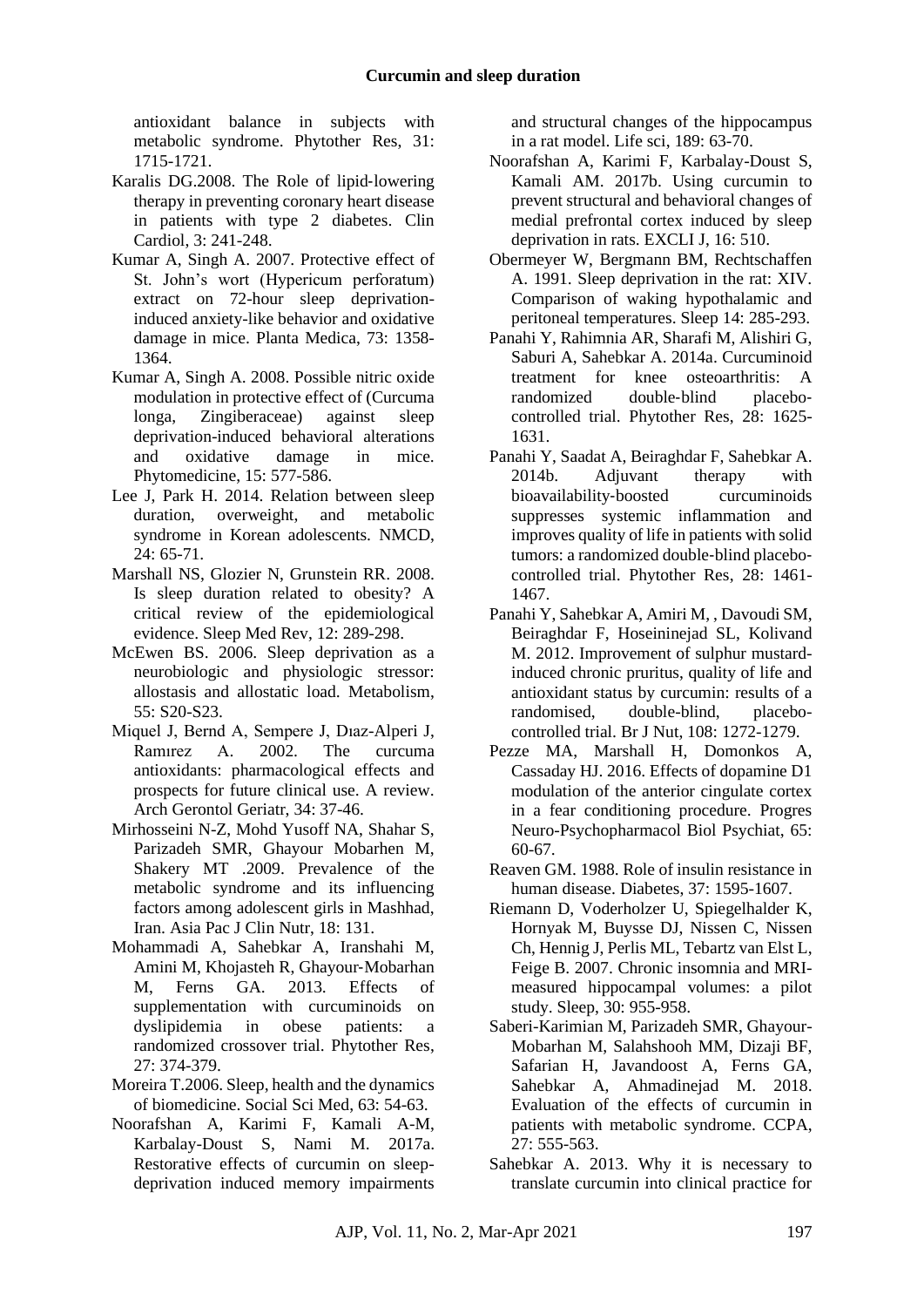antioxidant balance in subjects with metabolic syndrome. Phytother Res, 31: 1715-1721.

- <span id="page-7-3"></span>Karalis DG.2008. The Role of lipid‐lowering therapy in preventing coronary heart disease in patients with type 2 diabetes. Clin Cardiol, 3: 241-248.
- <span id="page-7-20"></span>Kumar A, Singh A. 2007. Protective effect of St. John's wort (Hypericum perforatum) extract on 72-hour sleep deprivationinduced anxiety-like behavior and oxidative damage in mice. Planta Medica, 73: 1358- 1364.
- <span id="page-7-10"></span>Kumar A, Singh A. 2008. Possible nitric oxide modulation in protective effect of (Curcuma longa, Zingiberaceae) against sleep deprivation-induced behavioral alterations and oxidative damage in mice. Phytomedicine, 15: 577-586.
- <span id="page-7-14"></span>Lee J, Park H. 2014. Relation between sleep duration, overweight, and metabolic syndrome in Korean adolescents. NMCD,  $24: 65-71.$
- <span id="page-7-9"></span>Marshall NS, Glozier N, Grunstein RR. 2008. Is sleep duration related to obesity? A critical review of the epidemiological evidence. Sleep Med Rev, 12: 289-298.
- <span id="page-7-15"></span>McEwen BS. 2006. Sleep deprivation as a neurobiologic and physiologic stressor: allostasis and allostatic load. Metabolism,  $55: S20-S23$
- <span id="page-7-4"></span>Miquel J, Bernd A, Sempere J, Dıaz-Alperi J, Ramırez A. 2002. The curcuma antioxidants: pharmacological effects and prospects for future clinical use. A review. Arch Gerontol Geriatr, 34: 37-46.
- <span id="page-7-1"></span>Mirhosseini N-Z, Mohd Yusoff NA, Shahar S, Parizadeh SMR, Ghayour Mobarhen M, Shakery MT .2009. Prevalence of the metabolic syndrome and its influencing factors among adolescent girls in Mashhad, Iran. Asia Pac J Clin Nutr, 18: 131.
- <span id="page-7-2"></span>Mohammadi A, Sahebkar A, Iranshahi M, Amini M, Khojasteh R, Ghayour‐Mobarhan M, Ferns GA. 2013. Effects of supplementation with curcuminoids on dyslipidemia in obese patients: a randomized crossover trial. Phytother Res, 27: 374-379.
- <span id="page-7-16"></span>Moreira T.2006. Sleep, health and the dynamics of biomedicine. Social Sci Med, 63: 54-63.
- <span id="page-7-11"></span>Noorafshan A, Karimi F, Kamali A-M, Karbalay-Doust S, Nami M. 2017a. Restorative effects of curcumin on sleepdeprivation induced memory impairments

and structural changes of the hippocampus in a rat model. Life sci, 189: 63-70.

- <span id="page-7-18"></span>Noorafshan A, Karimi F, Karbalay-Doust S, Kamali AM. 2017b. Using curcumin to prevent structural and behavioral changes of medial prefrontal cortex induced by sleep deprivation in rats. EXCLI J, 16: 510.
- <span id="page-7-17"></span>Obermeyer W, Bergmann BM, Rechtschaffen A. 1991. Sleep deprivation in the rat: XIV. Comparison of waking hypothalamic and peritoneal temperatures. Sleep 14: 285-293.
- <span id="page-7-5"></span>Panahi Y, Rahimnia AR, Sharafi M, Alishiri G, Saburi A, Sahebkar A. 2014a. Curcuminoid treatment for knee osteoarthritis: A randomized double-blind placebocontrolled trial. Phytother Res, 28: 1625- 1631.
- <span id="page-7-6"></span>Panahi Y, Saadat A, Beiraghdar F, Sahebkar A. 2014b. Adjuvant therapy with bioavailability-boosted curcuminoids suppresses systemic inflammation and improves quality of life in patients with solid tumors: a randomized double‐blind placebo‐ controlled trial. Phytother Res, 28: 1461- 1467.
- <span id="page-7-8"></span>Panahi Y, Sahebkar A, Amiri M, , Davoudi SM, Beiraghdar F, Hoseininejad SL, Kolivand M. 2012. Improvement of sulphur mustardinduced chronic pruritus, quality of life and antioxidant status by curcumin: results of a randomised, double-blind, placebocontrolled trial. Br J Nut, 108: 1272-1279.
- <span id="page-7-19"></span>Pezze MA, Marshall H, Domonkos A, Cassaday HJ. 2016. Effects of dopamine D1 modulation of the anterior cingulate cortex in a fear conditioning procedure. Progres Neuro-Psychopharmacol Biol Psychiat, 65: 60-67.
- <span id="page-7-0"></span>Reaven GM. 1988. Role of insulin resistance in human disease. Diabetes, 37: 1595-1607.
- <span id="page-7-12"></span>Riemann D, Voderholzer U, Spiegelhalder K, Hornyak M, Buysse DJ, Nissen C, Nissen Ch, Hennig J, Perlis ML, Tebartz van Elst L, Feige B. 2007. Chronic insomnia and MRImeasured hippocampal volumes: a pilot study. Sleep, 30: 955-958.
- <span id="page-7-13"></span>Saberi-Karimian M, Parizadeh SMR, Ghayour-Mobarhan M, Salahshooh MM, Dizaji BF, Safarian H, Javandoost A, Ferns GA, Sahebkar A, Ahmadinejad M. 2018. Evaluation of the effects of curcumin in patients with metabolic syndrome. CCPA, 27: 555-563.
- <span id="page-7-7"></span>Sahebkar A. 2013. Why it is necessary to translate curcumin into clinical practice for